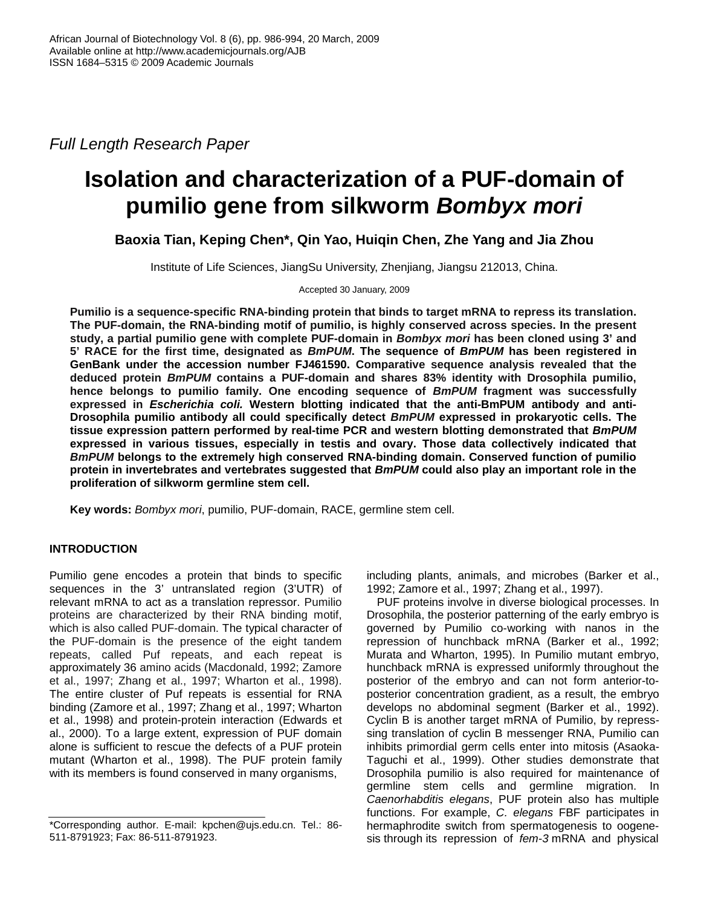*Full Length Research Paper* 

# **Isolation and characterization of a PUF-domain of pumilio gene from silkworm** *Bombyx mori*

**Baoxia Tian, Keping Chen\*, Qin Yao, Huiqin Chen, Zhe Yang and Jia Zhou** 

Institute of Life Sciences, JiangSu University, Zhenjiang, Jiangsu 212013, China.

Accepted 30 January, 2009

**Pumilio is a sequence-specific RNA-binding protein that binds to target mRNA to repress its translation. The PUF-domain, the RNA-binding motif of pumilio, is highly conserved across species. In the present study, a partial pumilio gene with complete PUF-domain in** *Bombyx mori* **has been cloned using 3' and 5' RACE for the first time, designated as** *BmPUM***. The sequence of** *BmPUM* **has been registered in GenBank under the accession number FJ461590. Comparative sequence analysis revealed that the deduced protein** *BmPUM* **contains a PUF-domain and shares 83% identity with Drosophila pumilio, hence belongs to pumilio family. One encoding sequence of** *BmPUM* **fragment was successfully expressed in** *Escherichia coli.* **Western blotting indicated that the anti-BmPUM antibody and anti-Drosophila pumilio antibody all could specifically detect** *BmPUM* **expressed in prokaryotic cells. The tissue expression pattern performed by real-time PCR and western blotting demonstrated that** *BmPUM* **expressed in various tissues, especially in testis and ovary. Those data collectively indicated that**  *BmPUM* **belongs to the extremely high conserved RNA-binding domain. Conserved function of pumilio protein in invertebrates and vertebrates suggested that** *BmPUM* **could also play an important role in the proliferation of silkworm germline stem cell.** 

**Key words:** *Bombyx mori*, pumilio, PUF-domain, RACE, germline stem cell.

# **INTRODUCTION**

Pumilio gene encodes a protein that binds to specific sequences in the 3' untranslated region (3'UTR) of relevant mRNA to act as a translation repressor. Pumilio proteins are characterized by their RNA binding motif, which is also called PUF-domain. The typical character of the PUF-domain is the presence of the eight tandem repeats, called Puf repeats, and each repeat is approximately 36 amino acids (Macdonald, 1992; Zamore et al., 1997; Zhang et al., 1997; Wharton et al., 1998). The entire cluster of Puf repeats is essential for RNA binding (Zamore et al., 1997; Zhang et al., 1997; Wharton et al., 1998) and protein-protein interaction (Edwards et al., 2000). To a large extent, expression of PUF domain alone is sufficient to rescue the defects of a PUF protein mutant (Wharton et al., 1998). The PUF protein family with its members is found conserved in many organisms,

including plants, animals, and microbes (Barker et al., 1992; Zamore et al., 1997; Zhang et al., 1997).

PUF proteins involve in diverse biological processes. In Drosophila, the posterior patterning of the early embryo is governed by Pumilio co-working with nanos in the repression of hunchback mRNA (Barker et al., 1992; Murata and Wharton, 1995). In Pumilio mutant embryo, hunchback mRNA is expressed uniformly throughout the posterior of the embryo and can not form anterior-toposterior concentration gradient, as a result, the embryo develops no abdominal segment (Barker et al., 1992). Cyclin B is another target mRNA of Pumilio, by represssing translation of cyclin B messenger RNA, Pumilio can inhibits primordial germ cells enter into mitosis (Asaoka-Taguchi et al., 1999). Other studies demonstrate that Drosophila pumilio is also required for maintenance of germline stem cells and germline migration. In *Caenorhabditis elegans*, PUF protein also has multiple functions. For example, *C. elegans* FBF participates in hermaphrodite switch from spermatogenesis to oogenesis through its repression of *fem-3* mRNA and physical

<sup>\*</sup>Corresponding author. E-mail: kpchen@ujs.edu.cn. Tel.: 86- 511-8791923; Fax: 86-511-8791923.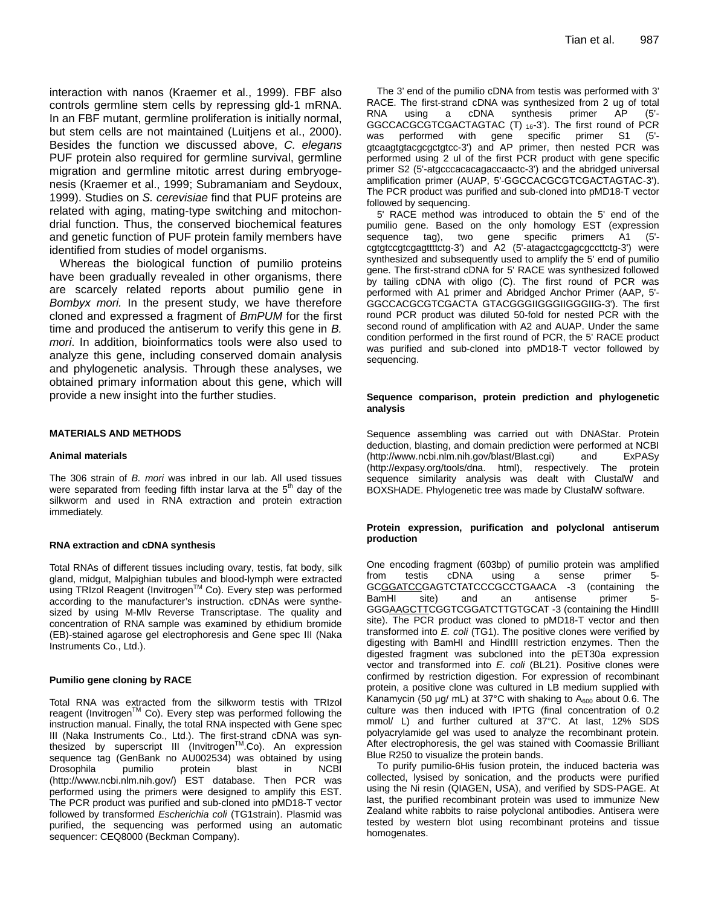interaction with nanos (Kraemer et al., 1999). FBF also controls germline stem cells by repressing gld-1 mRNA. In an FBF mutant, germline proliferation is initially normal, but stem cells are not maintained (Luitjens et al., 2000). Besides the function we discussed above, *C. elegans* PUF protein also required for germline survival, germline migration and germline mitotic arrest during embryogenesis (Kraemer et al., 1999; Subramaniam and Seydoux, 1999). Studies on *S. cerevisiae* find that PUF proteins are related with aging, mating-type switching and mitochondrial function. Thus, the conserved biochemical features and genetic function of PUF protein family members have identified from studies of model organisms.

Whereas the biological function of pumilio proteins have been gradually revealed in other organisms, there are scarcely related reports about pumilio gene in *Bombyx mori.* In the present study, we have therefore cloned and expressed a fragment of *BmPUM* for the first time and produced the antiserum to verify this gene in *B. mori*. In addition, bioinformatics tools were also used to analyze this gene, including conserved domain analysis and phylogenetic analysis. Through these analyses, we obtained primary information about this gene, which will provide a new insight into the further studies.

#### **MATERIALS AND METHODS**

#### **Animal materials**

The 306 strain of *B. mori* was inbred in our lab. All used tissues were separated from feeding fifth instar larva at the  $5<sup>th</sup>$  day of the silkworm and used in RNA extraction and protein extraction immediately.

#### **RNA extraction and cDNA synthesis**

Total RNAs of different tissues including ovary, testis, fat body, silk gland, midgut, Malpighian tubules and blood-lymph were extracted using TRIzol Reagent (Invitrogen™ Co). Every step was performed according to the manufacturer's instruction. cDNAs were synthesized by using M-Mlv Reverse Transcriptase. The quality and concentration of RNA sample was examined by ethidium bromide (EB)-stained agarose gel electrophoresis and Gene spec III (Naka Instruments Co., Ltd.).

#### **Pumilio gene cloning by RACE**

Total RNA was extracted from the silkworm testis with TRIzol reagent (InvitrogenTM Co). Every step was performed following the instruction manual. Finally, the total RNA inspected with Gene spec III (Naka Instruments Co., Ltd.). The first-strand cDNA was synthesized by superscript III (Invitrogen™.Co). An expression sequence tag (GenBank no AU002534) was obtained by using Drosophila pumilio protein blast in NCBI (http://www.ncbi.nlm.nih.gov/) EST database. Then PCR was performed using the primers were designed to amplify this EST. The PCR product was purified and sub-cloned into pMD18-T vector followed by transformed *Escherichia coli* (TG1strain). Plasmid was purified, the sequencing was performed using an automatic sequencer: CEQ8000 (Beckman Company).

The 3' end of the pumilio cDNA from testis was performed with 3' RACE. The first-strand cDNA was synthesized from 2 ug of total RNA using a cDNA synthesis primer AP (5'- GGCCACGCGTCGACTAGTAC (T) 16-3'). The first round of PCR was performed with gene specific primer S1 (5' gtcaagtgtacgcgctgtcc-3') and AP primer, then nested PCR was performed using 2 ul of the first PCR product with gene specific primer S2 (5'-atgcccacacagaccaactc-3') and the abridged universal amplification primer (AUAP, 5'-GGCCACGCGTCGACTAGTAC-3'). The PCR product was purified and sub-cloned into pMD18-T vector followed by sequencing.

5' RACE method was introduced to obtain the 5' end of the pumilio gene. Based on the only homology EST (expression sequence tag), two gene specific primers A1 (5' cgtgtccgtcgagttttctg-3') and A2 (5'-atagactcgagcgccttctg-3') were synthesized and subsequently used to amplify the 5' end of pumilio gene. The first-strand cDNA for 5' RACE was synthesized followed by tailing cDNA with oligo (C). The first round of PCR was performed with A1 primer and Abridged Anchor Primer (AAP, 5'- GGCCACGCGTCGACTA GTACGGGIIGGGIIGGGIIG-3'). The first round PCR product was diluted 50-fold for nested PCR with the second round of amplification with A2 and AUAP. Under the same condition performed in the first round of PCR, the 5' RACE product was purified and sub-cloned into pMD18-T vector followed by sequencing.

#### **Sequence comparison, protein prediction and phylogenetic analysis**

Sequence assembling was carried out with DNAStar. Protein deduction, blasting, and domain prediction were performed at NCBI (http://www.ncbi.nlm.nih.gov/blast/Blast.cgi) and ExPASy (http://expasy.org/tools/dna. html), respectively. The protein sequence similarity analysis was dealt with ClustalW and BOXSHADE. Phylogenetic tree was made by ClustalW software.

## **Protein expression, purification and polyclonal antiserum production**

One encoding fragment (603bp) of pumilio protein was amplified from testis cDNA using a sense primer 5- GCGGATCCGAGTCTATCCCGCCTGAACA -3 (containing the BamHI site) and an antisense primer 5- GGGAAGCTTCGGTCGGATCTTGTGCAT -3 (containing the HindIII site). The PCR product was cloned to pMD18-T vector and then transformed into *E. coli* (TG1). The positive clones were verified by digesting with BamHI and HindIII restriction enzymes. Then the digested fragment was subcloned into the pET30a expression vector and transformed into *E. coli* (BL21). Positive clones were confirmed by restriction digestion. For expression of recombinant protein, a positive clone was cultured in LB medium supplied with Kanamycin (50 µg/ mL) at 37°C with shaking to  $A_{600}$  about 0.6. The culture was then induced with IPTG (final concentration of 0.2 mmol/ L) and further cultured at 37°C. At last, 12% SDS polyacrylamide gel was used to analyze the recombinant protein. After electrophoresis, the gel was stained with Coomassie Brilliant Blue R250 to visualize the protein bands.

To purify pumilio-6His fusion protein, the induced bacteria was collected, lysised by sonication, and the products were purified using the Ni resin (QIAGEN, USA), and verified by SDS-PAGE. At last, the purified recombinant protein was used to immunize New Zealand white rabbits to raise polyclonal antibodies. Antisera were tested by western blot using recombinant proteins and tissue homogenates.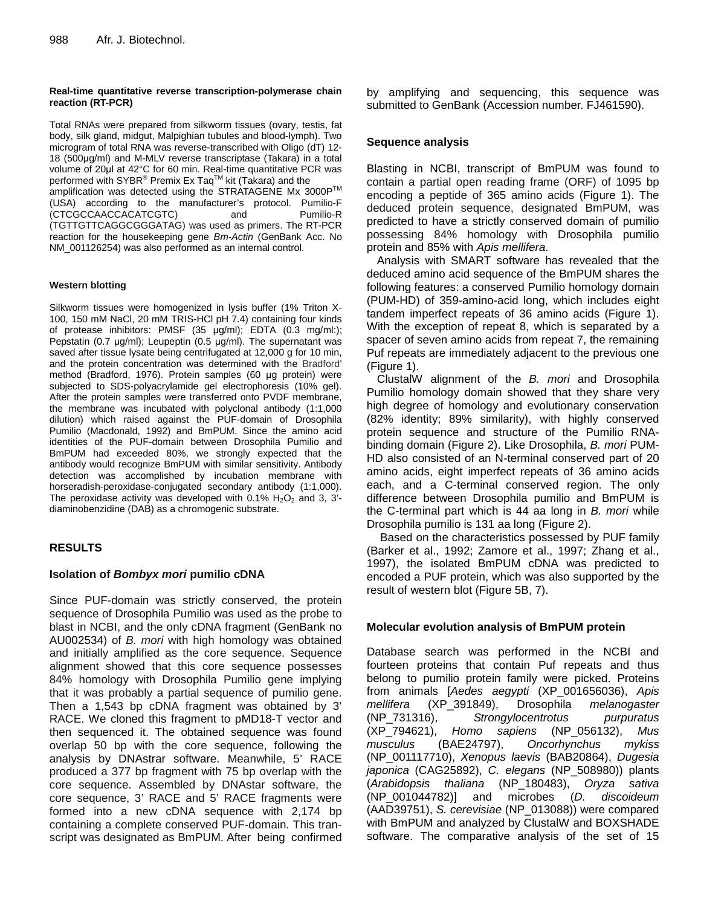## **Real-time quantitative reverse transcription-polymerase chain reaction (RT-PCR)**

Total RNAs were prepared from silkworm tissues (ovary, testis, fat body, silk gland, midgut, Malpighian tubules and blood-lymph). Two microgram of total RNA was reverse-transcribed with Oligo (dT) 12- 18 (500g/ml) and M-MLV reverse transcriptase (Takara) in a total volume of 20ul at 42°C for 60 min. Real-time quantitative PCR was performed with SYBR $^\circ$  Premix Ex Taq $^{\text{\tiny{\textsf{TM}}}}$  kit (Takara) and the amplification was detected using the STRATAGENE Mx 3000P™ (USA) according to the manufacturer's protocol. Pumilio-F (CTCGCCAACCACATCGTC) and (TGTTGTTCAGGCGGGATAG) was used as primers. The RT-PCR reaction for the housekeeping gene *Bm-Actin* (GenBank Acc. No NM\_001126254) was also performed as an internal control.

# **Western blotting**

Silkworm tissues were homogenized in lysis buffer (1% Triton X-100, 150 mM NaCl, 20 mM TRIS-HCl pH 7.4) containing four kinds of protease inhibitors: PMSF  $(35 \text{ µq/ml})$ ; EDTA  $(0.3 \text{ mq/ml})$ ; Pepstatin (0.7  $\mu$ g/ml); Leupeptin (0.5  $\mu$ g/ml). The supernatant was saved after tissue lysate being centrifugated at 12,000 g for 10 min, and the protein concentration was determined with the Bradford' method (Bradford, 1976). Protein samples (60 µg protein) were subjected to SDS-polyacrylamide gel electrophoresis (10% gel). After the protein samples were transferred onto PVDF membrane, the membrane was incubated with polyclonal antibody (1:1,000 dilution) which raised against the PUF-domain of Drosophila Pumilio (Macdonald, 1992) and BmPUM. Since the amino acid identities of the PUF-domain between Drosophila Pumilio and BmPUM had exceeded 80%, we strongly expected that the antibody would recognize BmPUM with similar sensitivity. Antibody detection was accomplished by incubation membrane with horseradish-peroxidase-conjugated secondary antibody (1:1,000). The peroxidase activity was developed with  $0.1\%$  H<sub>2</sub>O<sub>2</sub> and 3, 3'diaminobenzidine (DAB) as a chromogenic substrate.

# **RESULTS**

# **Isolation of** *Bombyx mori* **pumilio cDNA**

Since PUF-domain was strictly conserved, the protein sequence of Drosophila Pumilio was used as the probe to blast in NCBI, and the only cDNA fragment (GenBank no AU002534) of *B. mori* with high homology was obtained and initially amplified as the core sequence. Sequence alignment showed that this core sequence possesses 84% homology with Drosophila Pumilio gene implying that it was probably a partial sequence of pumilio gene. Then a 1,543 bp cDNA fragment was obtained by 3' RACE. We cloned this fragment to pMD18-T vector and then sequenced it. The obtained sequence was found overlap 50 bp with the core sequence, following the analysis by DNAstrar software. Meanwhile, 5' RACE produced a 377 bp fragment with 75 bp overlap with the core sequence. Assembled by DNAstar software, the core sequence, 3' RACE and 5' RACE fragments were formed into a new cDNA sequence with 2,174 bp containing a complete conserved PUF-domain. This transcript was designated as BmPUM. After being confirmed by amplifying and sequencing, this sequence was submitted to GenBank (Accession number. FJ461590).

# **Sequence analysis**

Blasting in NCBI, transcript of BmPUM was found to contain a partial open reading frame (ORF) of 1095 bp encoding a peptide of 365 amino acids (Figure 1). The deduced protein sequence, designated BmPUM, was predicted to have a strictly conserved domain of pumilio possessing 84% homology with Drosophila pumilio protein and 85% with *Apis mellifera*.

Analysis with SMART software has revealed that the deduced amino acid sequence of the BmPUM shares the following features: a conserved Pumilio homology domain (PUM-HD) of 359-amino-acid long, which includes eight tandem imperfect repeats of 36 amino acids (Figure 1). With the exception of repeat 8, which is separated by a spacer of seven amino acids from repeat 7, the remaining Puf repeats are immediately adjacent to the previous one (Figure 1).

ClustalW alignment of the *B. mori* and Drosophila Pumilio homology domain showed that they share very high degree of homology and evolutionary conservation (82% identity; 89% similarity), with highly conserved protein sequence and structure of the Pumilio RNAbinding domain (Figure 2). Like Drosophila, *B. mori* PUM-HD also consisted of an N-terminal conserved part of 20 amino acids, eight imperfect repeats of 36 amino acids each, and a C-terminal conserved region. The only difference between Drosophila pumilio and BmPUM is the C-terminal part which is 44 aa long in *B. mori* while Drosophila pumilio is 131 aa long (Figure 2).

 Based on the characteristics possessed by PUF family (Barker et al., 1992; Zamore et al., 1997; Zhang et al., 1997), the isolated BmPUM cDNA was predicted to encoded a PUF protein, which was also supported by the result of western blot (Figure 5B, 7).

# **Molecular evolution analysis of BmPUM protein**

Database search was performed in the NCBI and fourteen proteins that contain Puf repeats and thus belong to pumilio protein family were picked. Proteins from animals [*Aedes aegypti* (XP\_001656036), *Apis mellifera* (XP\_391849), Drosophila *melanogaster* (NP\_731316), *Strongylocentrotus purpuratus* (XP\_794621), *Homo sapiens* (NP\_056132), *Mus musculus* (BAE24797), *Oncorhynchus mykiss*  (NP\_001117710), *Xenopus laevis* (BAB20864), *Dugesia japonica* (CAG25892), *C. elegans* (NP\_508980)) plants (*Arabidopsis thaliana* (NP\_180483), *Oryza sativa*  (NP\_001044782)] and microbes (*D. discoideum*  (AAD39751), *S. cerevisiae* (NP\_013088)) were compared with BmPUM and analyzed by ClustalW and BOXSHADE software. The comparative analysis of the set of 15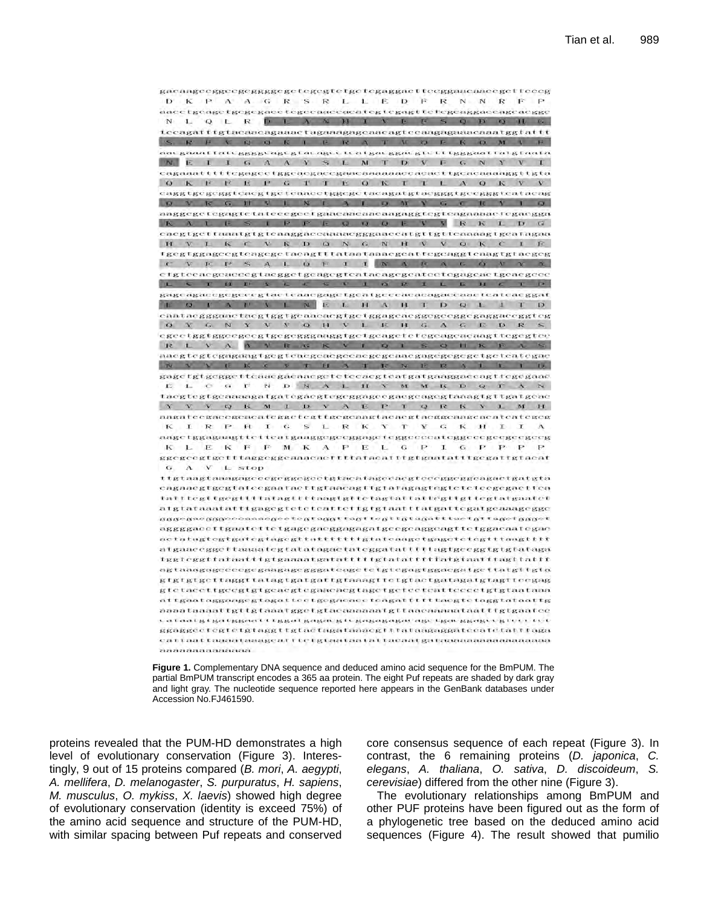gacaageeggeegeggggegetegegtelgetegaggaclieeggaacaaeegetteeeg D K P A A G R S R L L E D F R N N R F P aaccigoagetgogegaeetegoeaaceaeategtegagttelegeaggaeeageaegge Q L R D L A & M I V E F S Q D O H &  $N<sub>1</sub>$ teeagatttgtaeaaeagaaaetagaaagageaaeagteeaagagaaaeaaatggtattt SEFEQUE LERATION CONT aacgaaattateggggcagegtacageeteatgaeggaegtetttgggaattatgtaata NEIIGAAVSLMTDVFGNYVI cagaaatttttcgagcctggcacgaccgaacaaaaaaccacacttgcacaaaaggttgta OKFEFGTTEOKTLAOKVV eaggtgegeggteaegtgeteaaectggegetaeagatgtaegggtgeegggteataeag Q V IC G IT V L N T A L Q W Y G C IC V 1 Q aaggegetegagtetateeegeetgaaeaaeaaeaagaggtegteagaaaaefegaegga KALESIPPEQQQEYRKLDG caegtgettaaatgtgteaaggaceaaaaegggaaecatgttgtteaaaagtgeafagaa H V L K C V R D Q N G N H V V Q K C I E fgegiggageegieagegeiaeagillataataaaegeattegeaggieaagigiaegeg C V E P S A L O F I I N A B A G O V X A cigiocacgoaceegiaeggeigeagegicataeagegeateciegageaeigeaegeee L S T H P Y & C S V I Q R I L E H C T P gagcagaccgcgcccgtactcaacgagctgcatgcccacacagaccaactcatcacggat E O I A P V L N E L H A H T D Q L I T D Q Y G N Y V V Q H V L E H G A G E D R S egeetggtggeegeegtgegeggaaggtgetgeagetetegeageaeaagttegegtee RL Y A N R G K V L Q 1 S Q H K F A S aacgtcgtcgagaagtgegtcacgcaegecaegegcaacgagegegegetgctcategae N V Y E K ( Y T H A T R N E R A L L I D gage fgtgegge tteaaegaenaege te teeaeg teatgatgaaggaeeag ttegegaae ELCGFNDNALHYMMKDQFAN tacgtegtgennmagntgatégnegtegeggageegnegengegtnangtgttgatgene Y V V Q K M I D V A E P T Q R K V 1 M H angateegaeegeacateggetegttgegeangtaeaegtaeggeaageaeateategeg KIRPHIGSLRKYTYGKHIIA angetggagnagttetteatgaaggegeeggageteggeeeeateggeeegeegeegeeg K L E K F F M K A P E L G P I G P P P P ggcgcogtgotttaggcggcaaacaoftttatacatttgtgaatatttgcgattgtacat  $G$  A  $V$   $L$  stop ttgtaagtaaagageeegegegeetgtacatageeaegteeeggeagaetgatgta cagaacgtgcgtatecgaatacttgtaacagttgtafagagtegtetetecgegaettea tatttcgttgcgttttatagttttaagtgttctagtattattcgttgttcgtatgaatct aigtataaatatitgagegteteteatteitgigtaatitatgattegalgeaaagegge gggcgacgggcccaaacgcetegtaggttagttcgttgtagatttactgttagctgggct aggggaccttgaatettetgagegaeggagagatgeegeaggeagttetggaeaategae actatagtegtgategtagegttatttttttgtateaagetgagetetegtttaagtttt atgaaceggcttamaategtatatagactateggatattittagtgeeggtgtgtataga tggteggttataatttgtgaaaatgatatttttgtatattttatgtaatttagttattt agtaaagagccccgcgaagagcgggatcagctctgtcgagtggacgatgcttatgltgla gtgtgtgcttaggttatagtgatgattgtaaagttctgtactgatagatgtagttccgag gtetacettgeegtgtgeaegtegaaeaegtagetgeteeteatteeeetgtgtaataaa attgaataggaagegtagatteetgegaeaeeteagattitttaegtetaggtataattg appataaaattgitgtaaatggetgtacaaaaaatgttaaeaaaautaatttgtgaatee cataatgigatggaattiggatgagacgicgagagagacagcigacggagcogteccict ggaggeetegtetgtaggttgtaetagataaaegiltataagaggateeatetalilaga cattaattaanitaaagcatttetgtaataatattacaatgataanaanaanaanaa anonaaaaaaaa



proteins revealed that the PUM-HD demonstrates a high level of evolutionary conservation (Figure 3). Interestingly, 9 out of 15 proteins compared (*B. mori*, *A. aegypti*, *A. mellifera*, *D. melanogaster*, *S. purpuratus*, *H. sapiens*, *M. musculus*, *O. mykiss*, *X. laevis*) showed high degree of evolutionary conservation (identity is exceed 75%) of the amino acid sequence and structure of the PUM-HD, with similar spacing between Puf repeats and conserved core consensus sequence of each repeat (Figure 3). In contrast, the 6 remaining proteins (*D. japonica*, *C. elegans*, *A. thaliana*, *O. sativa*, *D. discoideum*, *S. cerevisiae*) differed from the other nine (Figure 3).

The evolutionary relationships among BmPUM and other PUF proteins have been figured out as the form of a phylogenetic tree based on the deduced amino acid sequences (Figure 4). The result showed that pumilio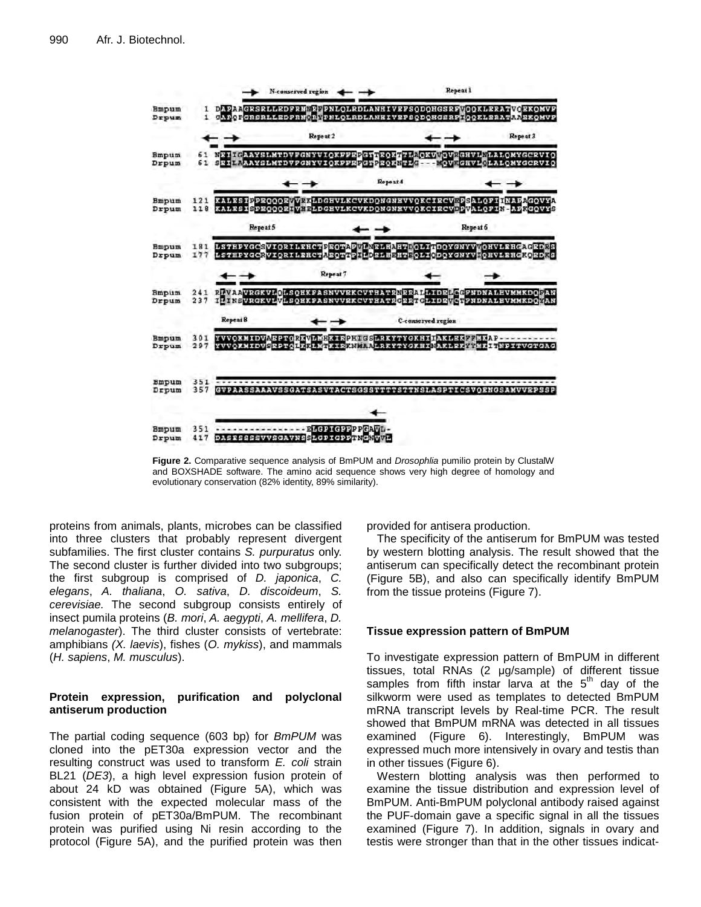

**Figure 2.** Comparative sequence analysis of BmPUM and *Drosophlia* pumilio protein by ClustalW and BOXSHADE software. The amino acid sequence shows very high degree of homology and evolutionary conservation (82% identity, 89% similarity).

proteins from animals, plants, microbes can be classified into three clusters that probably represent divergent subfamilies. The first cluster contains *S. purpuratus* only. The second cluster is further divided into two subgroups; the first subgroup is comprised of *D. japonica*, *C. elegans*, *A. thaliana*, *O. sativa*, *D. discoideum*, *S. cerevisiae.* The second subgroup consists entirely of insect pumila proteins (*B. mori*, *A. aegypti*, *A. mellifera*, *D. melanogaster*). The third cluster consists of vertebrate: amphibians *(X. laevis*), fishes (*O. mykiss*), and mammals (*H. sapiens*, *M. musculus*).

# **Protein expression, purification and polyclonal antiserum production**

The partial coding sequence (603 bp) for *BmPUM* was cloned into the pET30a expression vector and the resulting construct was used to transform *E. coli* strain BL21 (*DE3*), a high level expression fusion protein of about 24 kD was obtained (Figure 5A), which was consistent with the expected molecular mass of the fusion protein of pET30a/BmPUM. The recombinant protein was purified using Ni resin according to the protocol (Figure 5A), and the purified protein was then provided for antisera production.

The specificity of the antiserum for BmPUM was tested by western blotting analysis. The result showed that the antiserum can specifically detect the recombinant protein (Figure 5B), and also can specifically identify BmPUM from the tissue proteins (Figure 7).

# **Tissue expression pattern of BmPUM**

To investigate expression pattern of BmPUM in different tissues, total RNAs (2 µg/sample) of different tissue samples from fifth instar larva at the  $5<sup>th</sup>$  day of the silkworm were used as templates to detected BmPUM mRNA transcript levels by Real-time PCR. The result showed that BmPUM mRNA was detected in all tissues examined (Figure 6). Interestingly, BmPUM was expressed much more intensively in ovary and testis than in other tissues (Figure 6).

Western blotting analysis was then performed to examine the tissue distribution and expression level of BmPUM. Anti-BmPUM polyclonal antibody raised against the PUF-domain gave a specific signal in all the tissues examined (Figure 7). In addition, signals in ovary and testis were stronger than that in the other tissues indicat-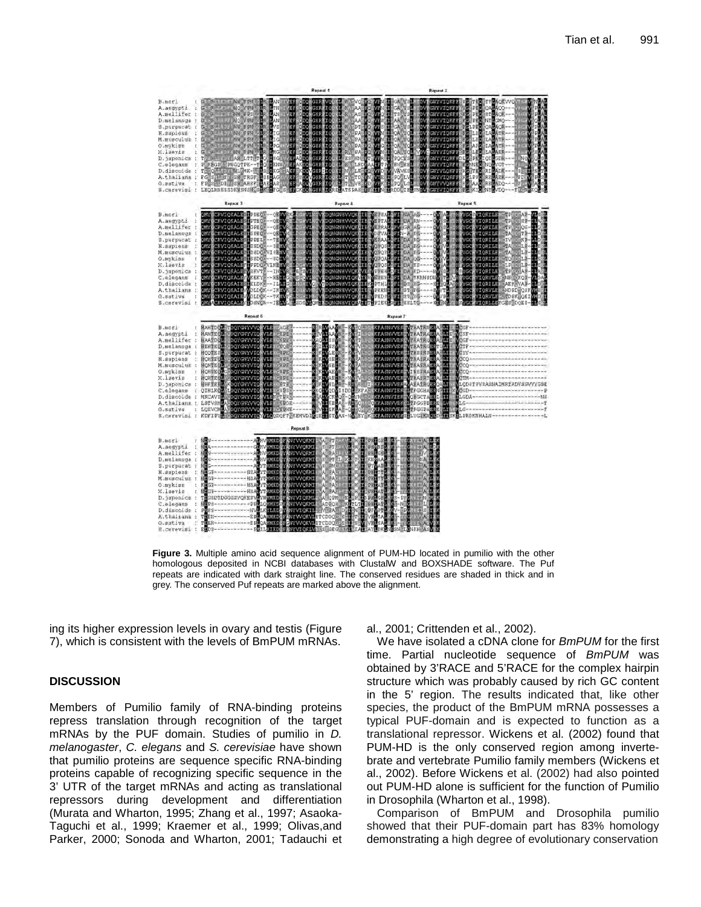|                                                                                                                                                                                                                                                                                                                                                                                                                                                                                                                                                                                                                                                                                                                                                       | Repeat 1                                                                                                                                                                                                                                             | Repeat 2                                                                                                                                                                                                                                                                                                                                                                                                                                                                                                                                            |                                                                             |
|-------------------------------------------------------------------------------------------------------------------------------------------------------------------------------------------------------------------------------------------------------------------------------------------------------------------------------------------------------------------------------------------------------------------------------------------------------------------------------------------------------------------------------------------------------------------------------------------------------------------------------------------------------------------------------------------------------------------------------------------------------|------------------------------------------------------------------------------------------------------------------------------------------------------------------------------------------------------------------------------------------------------|-----------------------------------------------------------------------------------------------------------------------------------------------------------------------------------------------------------------------------------------------------------------------------------------------------------------------------------------------------------------------------------------------------------------------------------------------------------------------------------------------------------------------------------------------------|-----------------------------------------------------------------------------|
| $\begin{tabular}{ll} \texttt{B} \texttt{.more} & & \texttt{c} & \texttt{S} & \texttt{R} & \texttt{S} & \texttt{S} & \texttt{S} & \texttt{S} & \texttt{S} & \texttt{S} & \texttt{S} & \texttt{S} & \texttt{S} & \texttt{S} & \texttt{S} & \texttt{S} & \texttt{S} & \texttt{S} & \texttt{S} & \texttt{S} & \texttt{S} & \texttt{S} & \texttt{S} & \texttt{S} & \texttt{S} & \texttt{S} & \texttt{S} & \texttt{S} & \texttt{S} & \$<br>S.purpurat : $G = K$ . The set of the set of the set of the set of the set of the set of the set of the set of the set of the set of the set of the set of the set of the set of the set of the set of the set of the set of th<br>0. setive : FP-80 DE SN ARSE DAELAS<br>S. carevisi : LEOLRNSSSDRNSNSNGBLKGLPG | ASSET TO A LEAD DRUG AT THE SHIPS STATE OF THE SERIES OF THE SERIES OF THE SERIES OF THE SERIES OF THE SERIES OF THE SERIES OF THE SERIES OF THE SERIES OF THE SERIES OF THE SERIES OF THE SERIES OF THE SERIES OF THE SERIES<br>łе<br><b>BECKDO</b> | coordess work a style for the children in the carry divisions of the coordess of the coordess work in the coor<br>Coordess records with the coordess of the carry divisions of the coordess of the coordess of the coordess of t<br><br><b>GNYVIOKEE EDINABLE ARCHVOT---</b><br>GUAVIOREE HEITES RIBADE ---<br>rissa tootat tuseva en toi on television valministerin toisen valministerin toisen.<br>Yssis toonat aka, veljoi valministerin valministerin valministerin valministerin.<br>Yssis toosatussuvalministerin soolista midvissuvalminist | <b>Ba</b><br><b>TREAT</b>                                                   |
| <b>R</b> иреат 3                                                                                                                                                                                                                                                                                                                                                                                                                                                                                                                                                                                                                                                                                                                                      | Repeat 4                                                                                                                                                                                                                                             | Repeat 5                                                                                                                                                                                                                                                                                                                                                                                                                                                                                                                                            |                                                                             |
| B.mori<br>A. segypti : SOW-BRAZORADES PTEQ --- OREVE<br>A.mellifer : MAY SRVICHALE GPEC -- OFIVE<br>D. melanova : SMC SMORAM SOPEN - CENTRE IN SALE IN SALE IN SALE IN SALE IN SALE IN SALE IN SALE IN SALE IN SALE IN SALE IN SALE IN SALE IN SALE IN SALE IN SALE IN SALE IN SALE IN SALE IN SALE IN SALE IN SALE IN SALE IN SAL<br>O. mykiss : CHZ_CRVIORALES SSDO -- SOLVASLE<br>X. laevis : CHZ/CRVIORALES APPDO VINEWACLE<br>D. japonica : CMV SAVIOKAMS VSKVT .- INIVE 7 3VI.<br>C. elegans : CMV CRVIOKAMS VSSKV .- HEILCAMS SVLKG<br>D.discolde : ONYGERVICKAIRSIKLDK2--ILLID<br>A.thalians : ONYGERVICKAIEWOLDOK--IRANG<br>G.sative : ONYGERVICKAIEWOLDOK--TKANG<br>S.cerevisi :                                                            | CAY CAVIORALE PPEC -- OBVORNE<br>iντ<br>Мü<br>VLB<br>w<br>īvв<br>VL.<br><b>SHVLK</b><br><b>DIGHTLY</b>                                                                                                                                               | WinoNGNBVVOK I E VEPEALUE I NAFAG---- CV <sup>I</sup> AL<br>DOMONAVVOK FERIVERTAL PET DA RN----- OV<br>ступоннаннууси на тубили на намической выполнительности и соступление и с в состоительности с и для составляет<br>Существенну основания с составляется и составляется с составляется и составляется и составляет с составляет с<br>VKDONGHNVIORVIERVSPERINGET DAFTKNNSDNV TD VE VIC VIORVIET DIE OKOE-VIDAL                                                                                                                                  | <b>VENUE</b><br><b>HIVGCBVIORILENGTEEDMAP</b><br>NIVERVIORILENCER TEP-TLANE |
|                                                                                                                                                                                                                                                                                                                                                                                                                                                                                                                                                                                                                                                                                                                                                       | Repeat 6                                                                                                                                                                                                                                             | Repeat 7                                                                                                                                                                                                                                                                                                                                                                                                                                                                                                                                            |                                                                             |
| : HAHTDUM TOOYGHYVVOLVLBII-AGEZ-<br>$B$ , $N$ $O$ $E$ $L$                                                                                                                                                                                                                                                                                                                                                                                                                                                                                                                                                                                                                                                                                             | <b>B. Access : RANDON MARKET AN ARTICLE AND CONTROLL IN A SECTION AND THE RELEASE AND RELEASE AND LOCATED AND CONTROLL IN A SECTION AND THE RELEASE AND LOCATED AND CONTROLL IN A SECTION OF A RELEASE AND LOCATED AT A RELEASE</b>                  |                                                                                                                                                                                                                                                                                                                                                                                                                                                                                                                                                     |                                                                             |
|                                                                                                                                                                                                                                                                                                                                                                                                                                                                                                                                                                                                                                                                                                                                                       | Repeat B                                                                                                                                                                                                                                             |                                                                                                                                                                                                                                                                                                                                                                                                                                                                                                                                                     |                                                                             |
|                                                                                                                                                                                                                                                                                                                                                                                                                                                                                                                                                                                                                                                                                                                                                       |                                                                                                                                                                                                                                                      | EKAT AKLAR                                                                                                                                                                                                                                                                                                                                                                                                                                                                                                                                          |                                                                             |

**Figure 3.** Multiple amino acid sequence alignment of PUM-HD located in pumilio with the other homologous deposited in NCBI databases with ClustalW and BOXSHADE software. The Puf repeats are indicated with dark straight line. The conserved residues are shaded in thick and in grey. The conserved Puf repeats are marked above the alignment.

ing its higher expression levels in ovary and testis (Figure 7), which is consistent with the levels of BmPUM mRNAs.

## **DISCUSSION**

Members of Pumilio family of RNA-binding proteins repress translation through recognition of the target mRNAs by the PUF domain. Studies of pumilio in *D. melanogaster*, *C. elegans* and *S. cerevisiae* have shown that pumilio proteins are sequence specific RNA-binding proteins capable of recognizing specific sequence in the 3' UTR of the target mRNAs and acting as translational repressors during development and differentiation (Murata and Wharton, 1995; Zhang et al., 1997; Asaoka-Taguchi et al., 1999; Kraemer et al., 1999; Olivas,and Parker, 2000; Sonoda and Wharton, 2001; Tadauchi et

## al., 2001; Crittenden et al., 2002).

We have isolated a cDNA clone for *BmPUM* for the first time. Partial nucleotide sequence of *BmPUM* was obtained by 3'RACE and 5'RACE for the complex hairpin structure which was probably caused by rich GC content in the 5' region. The results indicated that, like other species, the product of the BmPUM mRNA possesses a typical PUF-domain and is expected to function as a translational repressor. Wickens et al. (2002) found that PUM-HD is the only conserved region among invertebrate and vertebrate Pumilio family members (Wickens et al., 2002). Before Wickens et al. (2002) had also pointed out PUM-HD alone is sufficient for the function of Pumilio in Drosophila (Wharton et al., 1998).

Comparison of BmPUM and Drosophila pumilio showed that their PUF-domain part has 83% homology demonstrating a high degree of evolutionary conservation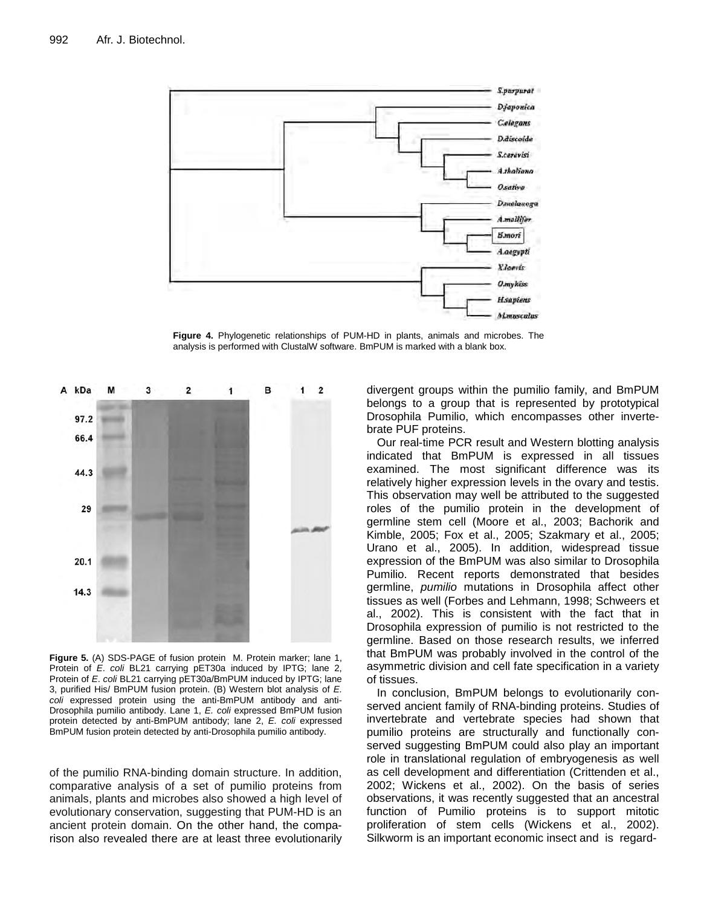

**Figure 4.** Phylogenetic relationships of PUM-HD in plants, animals and microbes. The analysis is performed with ClustalW software. BmPUM is marked with a blank box.



**Figure 5.** (A) SDS-PAGE of fusion protein M. Protein marker; lane 1, Protein of *E*. *coli* BL21 carrying pET30a induced by IPTG; lane 2, Protein of *E. coli* BL21 carrying pET30a/BmPUM induced by IPTG; lane 3, purified His/ BmPUM fusion protein. (B) Western blot analysis of *E. coli* expressed protein using the anti-BmPUM antibody and anti-Drosophila pumilio antibody. Lane 1, *E. coli* expressed BmPUM fusion protein detected by anti-BmPUM antibody; lane 2, *E. coli* expressed BmPUM fusion protein detected by anti-Drosophila pumilio antibody.

of the pumilio RNA-binding domain structure. In addition, comparative analysis of a set of pumilio proteins from animals, plants and microbes also showed a high level of evolutionary conservation, suggesting that PUM-HD is an ancient protein domain. On the other hand, the comparison also revealed there are at least three evolutionarily divergent groups within the pumilio family, and BmPUM belongs to a group that is represented by prototypical Drosophila Pumilio, which encompasses other invertebrate PUF proteins.

Our real-time PCR result and Western blotting analysis indicated that BmPUM is expressed in all tissues examined. The most significant difference was its relatively higher expression levels in the ovary and testis. This observation may well be attributed to the suggested roles of the pumilio protein in the development of germline stem cell (Moore et al., 2003; Bachorik and Kimble, 2005; Fox et al., 2005; Szakmary et al., 2005; Urano et al., 2005). In addition, widespread tissue expression of the BmPUM was also similar to Drosophila Pumilio. Recent reports demonstrated that besides germline, *pumilio* mutations in Drosophila affect other tissues as well (Forbes and Lehmann, 1998; Schweers et al., 2002). This is consistent with the fact that in Drosophila expression of pumilio is not restricted to the germline. Based on those research results, we inferred that BmPUM was probably involved in the control of the asymmetric division and cell fate specification in a variety of tissues.

In conclusion, BmPUM belongs to evolutionarily conserved ancient family of RNA-binding proteins. Studies of invertebrate and vertebrate species had shown that pumilio proteins are structurally and functionally conserved suggesting BmPUM could also play an important role in translational regulation of embryogenesis as well as cell development and differentiation (Crittenden et al., 2002; Wickens et al., 2002). On the basis of series observations, it was recently suggested that an ancestral function of Pumilio proteins is to support mitotic proliferation of stem cells (Wickens et al., 2002). Silkworm is an important economic insect and is regard-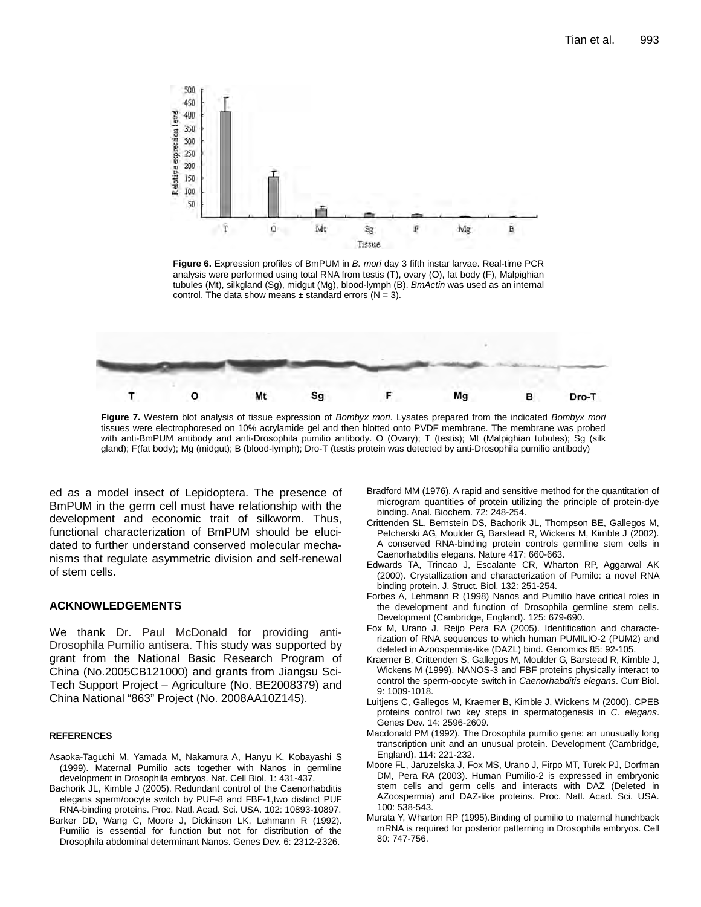

**Figure 6.** Expression profiles of BmPUM in *B. mori* day 3 fifth instar larvae. Real-time PCR analysis were performed using total RNA from testis (T), ovary (O), fat body (F), Malpighian tubules (Mt), silkgland (Sg), midgut (Mg), blood-lymph (B). *BmActin* was used as an internal control. The data show means  $\pm$  standard errors (N = 3).



**Figure 7.** Western blot analysis of tissue expression of *Bombyx mori*. Lysates prepared from the indicated *Bombyx mori* tissues were electrophoresed on 10% acrylamide gel and then blotted onto PVDF membrane. The membrane was probed with anti-BmPUM antibody and anti-Drosophila pumilio antibody. O (Ovary); T (testis); Mt (Malpighian tubules); Sg (silk gland); F(fat body); Mg (midgut); B (blood-lymph); Dro-T (testis protein was detected by anti-Drosophila pumilio antibody)

ed as a model insect of Lepidoptera. The presence of BmPUM in the germ cell must have relationship with the development and economic trait of silkworm. Thus, functional characterization of BmPUM should be elucidated to further understand conserved molecular mechanisms that regulate asymmetric division and self-renewal of stem cells.

# **ACKNOWLEDGEMENTS**

We thank Dr. Paul McDonald for providing anti-Drosophila Pumilio antisera. This study was supported by grant from the National Basic Research Program of China (No.2005CB121000) and grants from Jiangsu Sci-Tech Support Project – Agriculture (No. BE2008379) and China National "863" Project (No. 2008AA10Z145).

### **REFERENCES**

- Asaoka-Taguchi M, Yamada M, Nakamura A, Hanyu K, Kobayashi S (1999). Maternal Pumilio acts together with Nanos in germline development in Drosophila embryos. Nat. Cell Biol. 1: 431-437.
- Bachorik JL, Kimble J (2005). Redundant control of the Caenorhabditis elegans sperm/oocyte switch by PUF-8 and FBF-1,two distinct PUF RNA-binding proteins. Proc. Natl. Acad. Sci. USA. 102: 10893-10897.
- Barker DD, Wang C, Moore J, Dickinson LK, Lehmann R (1992). Pumilio is essential for function but not for distribution of the Drosophila abdominal determinant Nanos. Genes Dev. 6: 2312-2326.
- Bradford MM (1976). A rapid and sensitive method for the quantitation of microgram quantities of protein utilizing the principle of protein-dye binding. Anal. Biochem. 72: 248-254.
- Crittenden SL, Bernstein DS, Bachorik JL, Thompson BE, Gallegos M, Petcherski AG, Moulder G, Barstead R, Wickens M, Kimble J (2002). A conserved RNA-binding protein controls germline stem cells in Caenorhabditis elegans. Nature 417: 660-663.
- Edwards TA, Trincao J, Escalante CR, Wharton RP, Aggarwal AK (2000). Crystallization and characterization of Pumilo: a novel RNA binding protein. J. Struct. Biol. 132: 251-254.
- Forbes A, Lehmann R (1998) Nanos and Pumilio have critical roles in the development and function of Drosophila germline stem cells. Development (Cambridge, England). 125: 679-690.
- Fox M, Urano J, Reijo Pera RA (2005). Identification and characterization of RNA sequences to which human PUMILIO-2 (PUM2) and deleted in Azoospermia-like (DAZL) bind. Genomics 85: 92-105.
- Kraemer B, Crittenden S, Gallegos M, Moulder G, Barstead R, Kimble J, Wickens M (1999). NANOS-3 and FBF proteins physically interact to control the sperm-oocyte switch in *Caenorhabditis elegans*. Curr Biol. 9: 1009-1018.
- Luitjens C, Gallegos M, Kraemer B, Kimble J, Wickens M (2000). CPEB proteins control two key steps in spermatogenesis in *C. elegans*. Genes Dev. 14: 2596-2609.
- Macdonald PM (1992). The Drosophila pumilio gene: an unusually long transcription unit and an unusual protein. Development (Cambridge, England). 114: 221-232.
- Moore FL, Jaruzelska J, Fox MS, Urano J, Firpo MT, Turek PJ, Dorfman DM, Pera RA (2003). Human Pumilio-2 is expressed in embryonic stem cells and germ cells and interacts with DAZ (Deleted in AZoospermia) and DAZ-like proteins. Proc. Natl. Acad. Sci. USA. 100: 538-543.
- Murata Y, Wharton RP (1995).Binding of pumilio to maternal hunchback mRNA is required for posterior patterning in Drosophila embryos. Cell 80: 747-756.